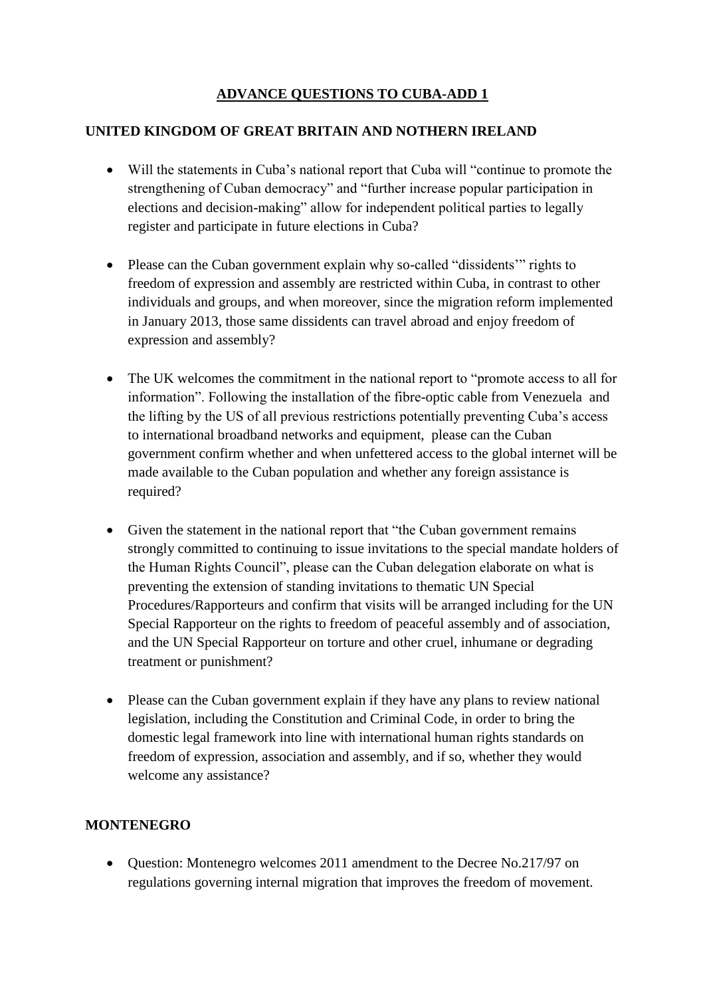## **ADVANCE QUESTIONS TO CUBA-ADD 1**

## **UNITED KINGDOM OF GREAT BRITAIN AND NOTHERN IRELAND**

- Will the statements in Cuba's national report that Cuba will "continue to promote the strengthening of Cuban democracy" and "further increase popular participation in elections and decision-making" allow for independent political parties to legally register and participate in future elections in Cuba?
- Please can the Cuban government explain why so-called "dissidents" rights to freedom of expression and assembly are restricted within Cuba, in contrast to other individuals and groups, and when moreover, since the migration reform implemented in January 2013, those same dissidents can travel abroad and enjoy freedom of expression and assembly?
- The UK welcomes the commitment in the national report to "promote access to all for information". Following the installation of the fibre-optic cable from Venezuela and the lifting by the US of all previous restrictions potentially preventing Cuba's access to international broadband networks and equipment, please can the Cuban government confirm whether and when unfettered access to the global internet will be made available to the Cuban population and whether any foreign assistance is required?
- Given the statement in the national report that "the Cuban government remains" strongly committed to continuing to issue invitations to the special mandate holders of the Human Rights Council", please can the Cuban delegation elaborate on what is preventing the extension of standing invitations to thematic UN Special Procedures/Rapporteurs and confirm that visits will be arranged including for the UN Special Rapporteur on the rights to freedom of peaceful assembly and of association, and the UN Special Rapporteur on torture and other cruel, inhumane or degrading treatment or punishment?
- Please can the Cuban government explain if they have any plans to review national legislation, including the Constitution and Criminal Code, in order to bring the domestic legal framework into line with international human rights standards on freedom of expression, association and assembly, and if so, whether they would welcome any assistance?

# **MONTENEGRO**

• Question: Montenegro welcomes 2011 amendment to the Decree No.217/97 on regulations governing internal migration that improves the freedom of movement.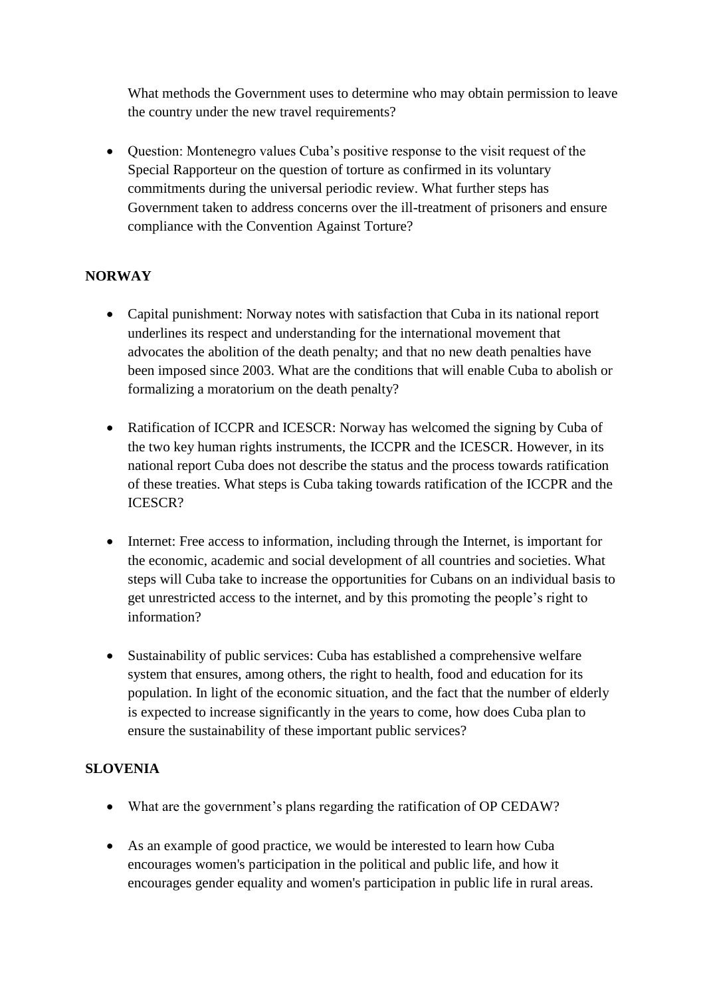What methods the Government uses to determine who may obtain permission to leave the country under the new travel requirements?

 Question: Montenegro values Cuba's positive response to the visit request of the Special Rapporteur on the question of torture as confirmed in its voluntary commitments during the universal periodic review. What further steps has Government taken to address concerns over the ill-treatment of prisoners and ensure compliance with the Convention Against Torture?

#### **NORWAY**

- Capital punishment: Norway notes with satisfaction that Cuba in its national report underlines its respect and understanding for the international movement that advocates the abolition of the death penalty; and that no new death penalties have been imposed since 2003. What are the conditions that will enable Cuba to abolish or formalizing a moratorium on the death penalty?
- Ratification of ICCPR and ICESCR: Norway has welcomed the signing by Cuba of the two key human rights instruments, the ICCPR and the ICESCR. However, in its national report Cuba does not describe the status and the process towards ratification of these treaties. What steps is Cuba taking towards ratification of the ICCPR and the ICESCR?
- Internet: Free access to information, including through the Internet, is important for the economic, academic and social development of all countries and societies. What steps will Cuba take to increase the opportunities for Cubans on an individual basis to get unrestricted access to the internet, and by this promoting the people's right to information?
- Sustainability of public services: Cuba has established a comprehensive welfare system that ensures, among others, the right to health, food and education for its population. In light of the economic situation, and the fact that the number of elderly is expected to increase significantly in the years to come, how does Cuba plan to ensure the sustainability of these important public services?

### **SLOVENIA**

- What are the government's plans regarding the ratification of OP CEDAW?
- As an example of good practice, we would be interested to learn how Cuba encourages women's participation in the political and public life, and how it encourages gender equality and women's participation in public life in rural areas.